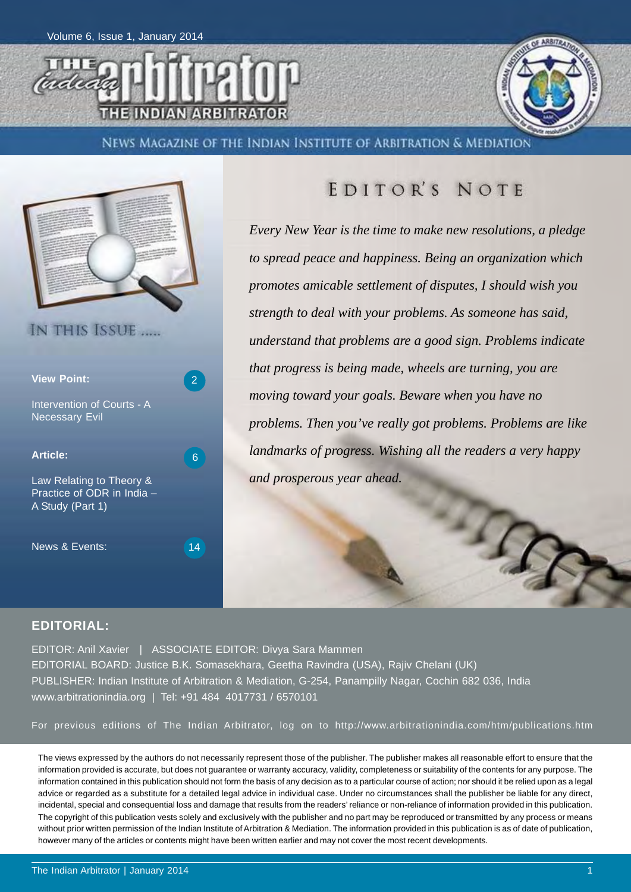



News Magazine of the Indian Institute of Arbitration & Mediation



## EDITOR'S NOTE

*Every New Year is the time to make new resolutions, a pledge to spread peace and happiness. Being an organization which promotes amicable settlement of disputes, I should wish you strength to deal with your problems. As someone has said, understand that problems are a good sign. Problems indicate that progress is being made, wheels are turning, you are moving toward your goals. Beware when you have no problems. Then you've really got problems. Problems are like landmarks of progress. Wishing all the readers a very happy and prosperous year ahead.*

 $\mathcal{T}_\mathcal{L}$ 

#### **EDITORIAL:**

EDITOR: Anil Xavier | ASSOCIATE EDITOR: Divya Sara Mammen EDITORIAL BOARD: Justice B.K. Somasekhara, Geetha Ravindra (USA), Rajiv Chelani (UK) PUBLISHER: Indian Institute of Arbitration & Mediation, G-254, Panampilly Nagar, Cochin 682 036, India www.arbitrationindia.org | Tel: +91 484 4017731 / 6570101

For previous editions of The Indian Arbitrator, log on to http://www.arbitrationindia.com/htm/publications.htm

The views expressed by the authors do not necessarily represent those of the publisher. The publisher makes all reasonable effort to ensure that the information provided is accurate, but does not guarantee or warranty accuracy, validity, completeness or suitability of the contents for any purpose. The information contained in this publication should not form the basis of any decision as to a particular course of action; nor should it be relied upon as a legal advice or regarded as a substitute for a detailed legal advice in individual case. Under no circumstances shall the publisher be liable for any direct, incidental, special and consequential loss and damage that results from the readers' reliance or non-reliance of information provided in this publication. The copyright of this publication vests solely and exclusively with the publisher and no part may be reproduced or transmitted by any process or means without prior written permission of the Indian Institute of Arbitration & Mediation. The information provided in this publication is as of date of publication, however many of the articles or contents might have been written earlier and may not cover the most recent developments.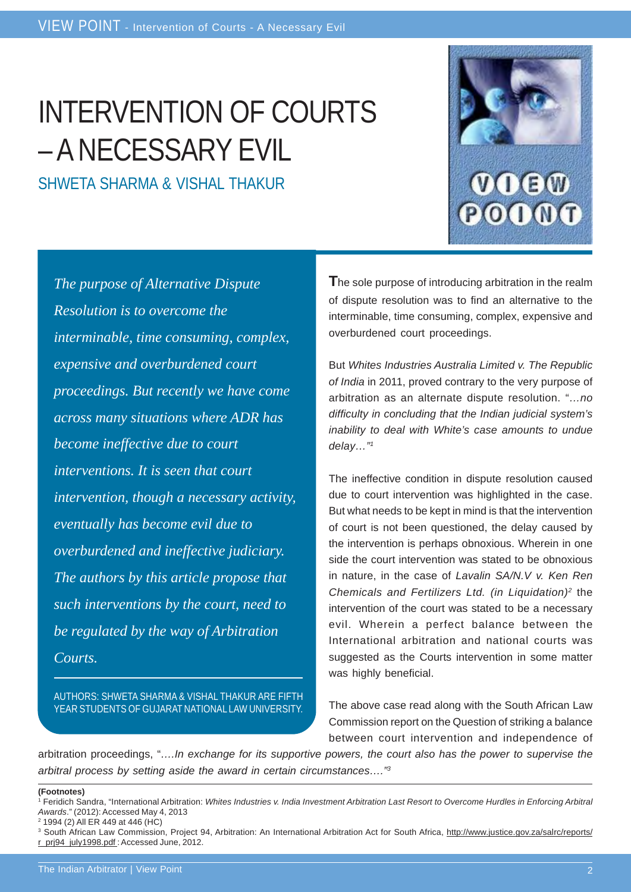# INTERVENTION OF COURTS – A NECESSARY EVIL

SHWETA SHARMA & VISHAL THAKUR



*The purpose of Alternative Dispute Resolution is to overcome the interminable, time consuming, complex, expensive and overburdened court proceedings. But recently we have come across many situations where ADR has become ineffective due to court interventions. It is seen that court intervention, though a necessary activity, eventually has become evil due to overburdened and ineffective judiciary. The authors by this article propose that such interventions by the court, need to be regulated by the way of Arbitration Courts.*

AUTHORS: SHWETA SHARMA & VISHAL THAKUR ARE FIFTH YEAR STUDENTS OF GUJARAT NATIONAL LAW UNIVERSITY.

**T**he sole purpose of introducing arbitration in the realm of dispute resolution was to find an alternative to the interminable, time consuming, complex, expensive and overburdened court proceedings.

But *Whites Industries Australia Limited v. The Republic of India* in 2011, proved contrary to the very purpose of arbitration as an alternate dispute resolution. "*…no difficulty in concluding that the Indian judicial system's inability to deal with White's case amounts to undue delay…"1*

The ineffective condition in dispute resolution caused due to court intervention was highlighted in the case. But what needs to be kept in mind is that the intervention of court is not been questioned, the delay caused by the intervention is perhaps obnoxious. Wherein in one side the court intervention was stated to be obnoxious in nature, in the case of *Lavalin SA/N.V v. Ken Ren Chemicals and Fertilizers Ltd. (in Liquidation)2* the intervention of the court was stated to be a necessary evil. Wherein a perfect balance between the International arbitration and national courts was suggested as the Courts intervention in some matter was highly beneficial.

The above case read along with the South African Law Commission report on the Question of striking a balance between court intervention and independence of

arbitration proceedings, "*….In exchange for its supportive powers, the court also has the power to supervise the arbitral process by setting aside the award in certain circumstances…."3*

#### **(Footnotes)**

<sup>1</sup> Feridich Sandra, "International Arbitration: *Whites Industries v. India Investment Arbitration Last Resort to Overcome Hurdles in Enforcing Arbitral Awards*." (2012): Accessed May 4, 2013

<sup>2 1994 (2)</sup> All ER 449 at 446 (HC)

<sup>&</sup>lt;sup>3</sup> South African Law Commission, Project 94, Arbitration: An International Arbitration Act for South Africa, http://www.justice.gov.za/salrc/reports/ r\_prj94\_july1998.pdf : Accessed June, 2012.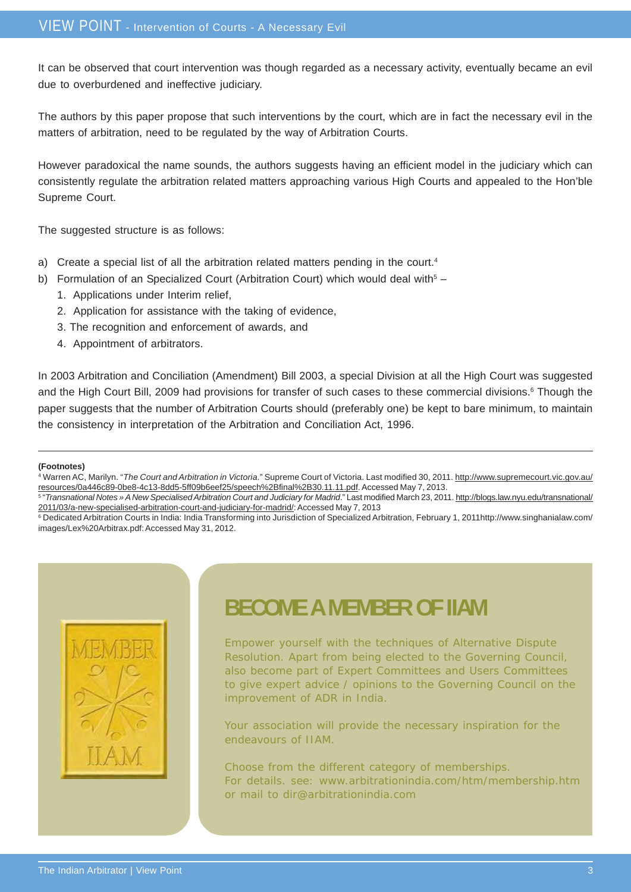It can be observed that court intervention was though regarded as a necessary activity, eventually became an evil due to overburdened and ineffective judiciary.

The authors by this paper propose that such interventions by the court, which are in fact the necessary evil in the matters of arbitration, need to be regulated by the way of Arbitration Courts.

However paradoxical the name sounds, the authors suggests having an efficient model in the judiciary which can consistently regulate the arbitration related matters approaching various High Courts and appealed to the Hon'ble Supreme Court.

The suggested structure is as follows:

- a) Create a special list of all the arbitration related matters pending in the court.<sup>4</sup>
- b) Formulation of an Specialized Court (Arbitration Court) which would deal with $5 -$ 
	- 1. Applications under Interim relief,
	- 2. Application for assistance with the taking of evidence,
	- 3. The recognition and enforcement of awards, and
	- 4. Appointment of arbitrators.

In 2003 Arbitration and Conciliation (Amendment) Bill 2003, a special Division at all the High Court was suggested and the High Court Bill, 2009 had provisions for transfer of such cases to these commercial divisions.<sup>6</sup> Though the paper suggests that the number of Arbitration Courts should (preferably one) be kept to bare minimum, to maintain the consistency in interpretation of the Arbitration and Conciliation Act, 1996.

#### **(Footnotes)**

4 Warren AC, Marilyn. "*The Court and Arbitration in Victoria*." Supreme Court of Victoria. Last modified 30, 2011. http://www.supremecourt.vic.gov.au/ resources/0a446c89-0be8-4c13-8dd5-5ff09b6eef25/speech%2Bfinal%2B30.11.11.pdf. Accessed May 7, 2013.

5 "*Transnational Notes » A New Specialised Arbitration Court and Judiciary for Madrid*." Last modified March 23, 2011. http://blogs.law.nyu.edu/transnational/ 2011/03/a-new-specialised-arbitration-court-and-judiciary-for-madrid/: Accessed May 7, 2013

6 Dedicated Arbitration Courts in India: India Transforming into Jurisdiction of Specialized Arbitration, February 1, 2011http://www.singhanialaw.com/ images/Lex%20Arbitrax.pdf: Accessed May 31, 2012.



## **BECOME A MEMBER OF IIAM**

Empower yourself with the techniques of Alternative Dispute Resolution. Apart from being elected to the Governing Council, also become part of Expert Committees and Users Committees to give expert advice / opinions to the Governing Council on the improvement of ADR in India.

Your association will provide the necessary inspiration for the endeavours of IIAM.

Choose from the different category of memberships. For details. see: www.arbitrationindia.com/htm/membership.htm or mail to dir@arbitrationindia.com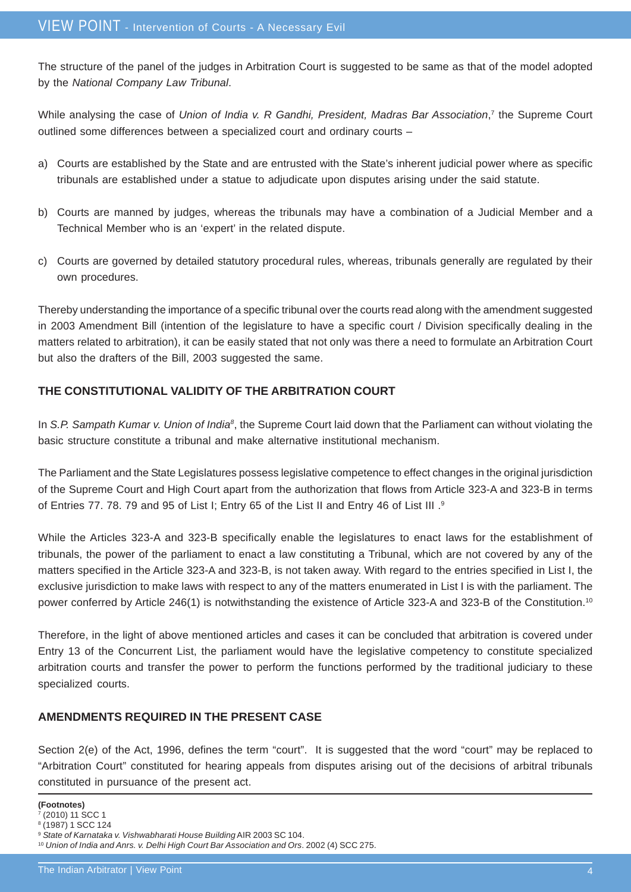The structure of the panel of the judges in Arbitration Court is suggested to be same as that of the model adopted by the *National Company Law Tribunal*.

While analysing the case of *Union of India v. R Gandhi, President, Madras Bar Association*,<sup>7</sup> the Supreme Court outlined some differences between a specialized court and ordinary courts –

- a) Courts are established by the State and are entrusted with the State's inherent judicial power where as specific tribunals are established under a statue to adjudicate upon disputes arising under the said statute.
- b) Courts are manned by judges, whereas the tribunals may have a combination of a Judicial Member and a Technical Member who is an 'expert' in the related dispute.
- c) Courts are governed by detailed statutory procedural rules, whereas, tribunals generally are regulated by their own procedures.

Thereby understanding the importance of a specific tribunal over the courts read along with the amendment suggested in 2003 Amendment Bill (intention of the legislature to have a specific court / Division specifically dealing in the matters related to arbitration), it can be easily stated that not only was there a need to formulate an Arbitration Court but also the drafters of the Bill, 2003 suggested the same.

### **THE CONSTITUTIONAL VALIDITY OF THE ARBITRATION COURT**

In S.P. Sampath Kumar v. Union of India<sup>8</sup>, the Supreme Court laid down that the Parliament can without violating the basic structure constitute a tribunal and make alternative institutional mechanism.

The Parliament and the State Legislatures possess legislative competence to effect changes in the original jurisdiction of the Supreme Court and High Court apart from the authorization that flows from Article 323-A and 323-B in terms of Entries 77. 78. 79 and 95 of List I; Entry 65 of the List II and Entry 46 of List III .9

While the Articles 323-A and 323-B specifically enable the legislatures to enact laws for the establishment of tribunals, the power of the parliament to enact a law constituting a Tribunal, which are not covered by any of the matters specified in the Article 323-A and 323-B, is not taken away. With regard to the entries specified in List I, the exclusive jurisdiction to make laws with respect to any of the matters enumerated in List I is with the parliament. The power conferred by Article 246(1) is notwithstanding the existence of Article 323-A and 323-B of the Constitution.10

Therefore, in the light of above mentioned articles and cases it can be concluded that arbitration is covered under Entry 13 of the Concurrent List, the parliament would have the legislative competency to constitute specialized arbitration courts and transfer the power to perform the functions performed by the traditional judiciary to these specialized courts.

### **AMENDMENTS REQUIRED IN THE PRESENT CASE**

Section 2(e) of the Act, 1996, defines the term "court". It is suggested that the word "court" may be replaced to "Arbitration Court" constituted for hearing appeals from disputes arising out of the decisions of arbitral tribunals constituted in pursuance of the present act.

**<sup>(</sup>Footnotes)**

 $(2010)$  11 SCC 1

<sup>8 (1987) 1</sup> SCC 124

<sup>9</sup> *State of Karnataka v. Vishwabharati House Building* AIR 2003 SC 104.

<sup>10</sup> *Union of India and Anrs. v. Delhi High Court Bar Association and Ors*. 2002 (4) SCC 275.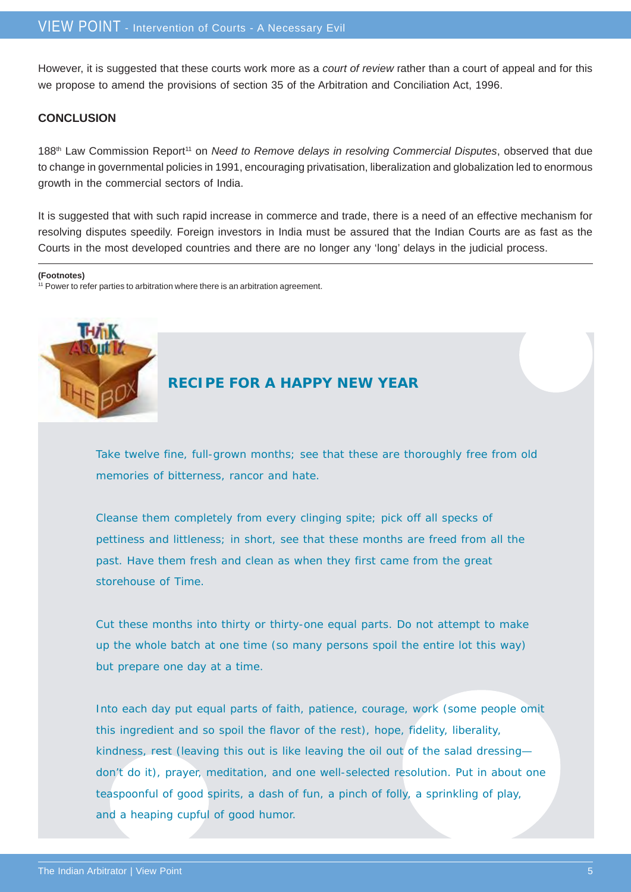However, it is suggested that these courts work more as a *court of review* rather than a court of appeal and for this we propose to amend the provisions of section 35 of the Arbitration and Conciliation Act, 1996.

#### **CONCLUSION**

188<sup>th</sup> Law Commission Report<sup>11</sup> on *Need to Remove delays in resolving Commercial Disputes*, observed that due to change in governmental policies in 1991, encouraging privatisation, liberalization and globalization led to enormous growth in the commercial sectors of India.

It is suggested that with such rapid increase in commerce and trade, there is a need of an effective mechanism for resolving disputes speedily. Foreign investors in India must be assured that the Indian Courts are as fast as the Courts in the most developed countries and there are no longer any 'long' delays in the judicial process.

**(Footnotes)**

 $11$  Power to refer parties to arbitration where there is an arbitration agreement.



### **RECIPE FOR A HAPPY NEW YEAR**

Take twelve fine, full-grown months; see that these are thoroughly free from old memories of bitterness, rancor and hate.

Cleanse them completely from every clinging spite; pick off all specks of pettiness and littleness; in short, see that these months are freed from all the past. Have them fresh and clean as when they first came from the great storehouse of Time.

Cut these months into thirty or thirty-one equal parts. Do not attempt to make up the whole batch at one time (so many persons spoil the entire lot this way) but prepare one day at a time.

Into each day put equal parts of faith, patience, courage, work (some people omit this ingredient and so spoil the flavor of the rest), hope, fidelity, liberality, kindness, rest (leaving this out is like leaving the oil out of the salad dressing don't do it), prayer, meditation, and one well-selected resolution. Put in about one teaspoonful of good spirits, a dash of fun, a pinch of folly, a sprinkling of play, and a heaping cupful of good humor.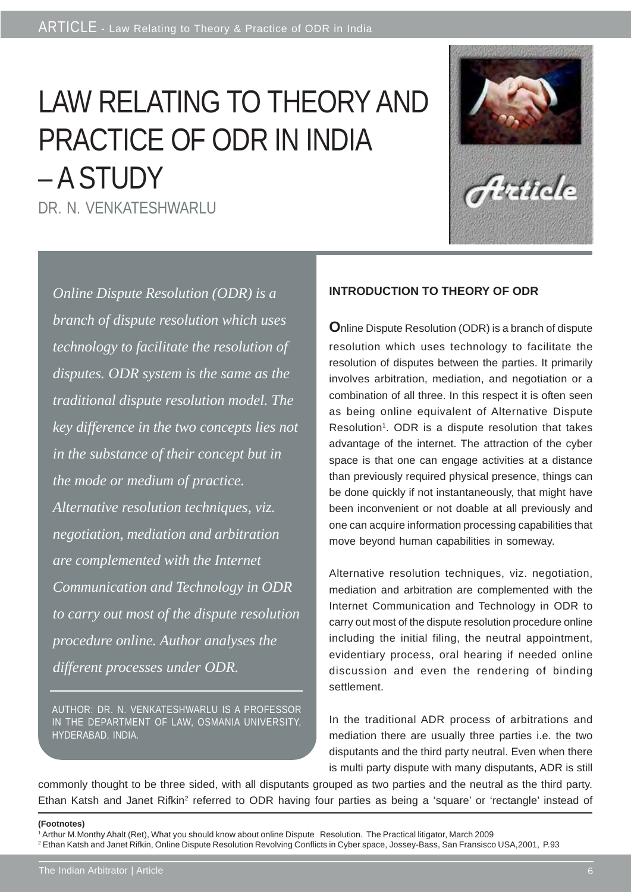# LAW RELATING TO THEORY AND PRACTICE OF ODR IN INDIA – A STUDY DR. N. VENKATESHWARLU

Antida

*Online Dispute Resolution (ODR) is a branch of dispute resolution which uses technology to facilitate the resolution of disputes. ODR system is the same as the traditional dispute resolution model. The key difference in the two concepts lies not in the substance of their concept but in the mode or medium of practice. Alternative resolution techniques, viz. negotiation, mediation and arbitration are complemented with the Internet Communication and Technology in ODR to carry out most of the dispute resolution procedure online. Author analyses the different processes under ODR.*

AUTHOR: DR. N. VENKATESHWARLU IS A PROFESSOR IN THE DEPARTMENT OF LAW, OSMANIA UNIVERSITY, HYDERABAD, INDIA.

### **INTRODUCTION TO THEORY OF ODR**

**O**nline Dispute Resolution (ODR) is a branch of dispute resolution which uses technology to facilitate the resolution of disputes between the parties. It primarily involves arbitration, mediation, and negotiation or a combination of all three. In this respect it is often seen as being online equivalent of Alternative Dispute Resolution<sup>1</sup>. ODR is a dispute resolution that takes advantage of the internet. The attraction of the cyber space is that one can engage activities at a distance than previously required physical presence, things can be done quickly if not instantaneously, that might have been inconvenient or not doable at all previously and one can acquire information processing capabilities that move beyond human capabilities in someway.

Alternative resolution techniques, viz. negotiation, mediation and arbitration are complemented with the Internet Communication and Technology in ODR to carry out most of the dispute resolution procedure online including the initial filing, the neutral appointment, evidentiary process, oral hearing if needed online discussion and even the rendering of binding settlement.

In the traditional ADR process of arbitrations and mediation there are usually three parties i.e. the two disputants and the third party neutral. Even when there is multi party dispute with many disputants, ADR is still

commonly thought to be three sided, with all disputants grouped as two parties and the neutral as the third party. Ethan Katsh and Janet Rifkin<sup>2</sup> referred to ODR having four parties as being a 'square' or 'rectangle' instead of

#### **(Footnotes)**

<sup>1</sup> Arthur M.Monthy Ahalt (Ret), What you should know about online Dispute Resolution. The Practical litigator, March 2009 2 Ethan Katsh and Janet Rifkin, Online Dispute Resolution Revolving Conflicts in Cyber space, Jossey-Bass, San Fransisco USA,2001, P.93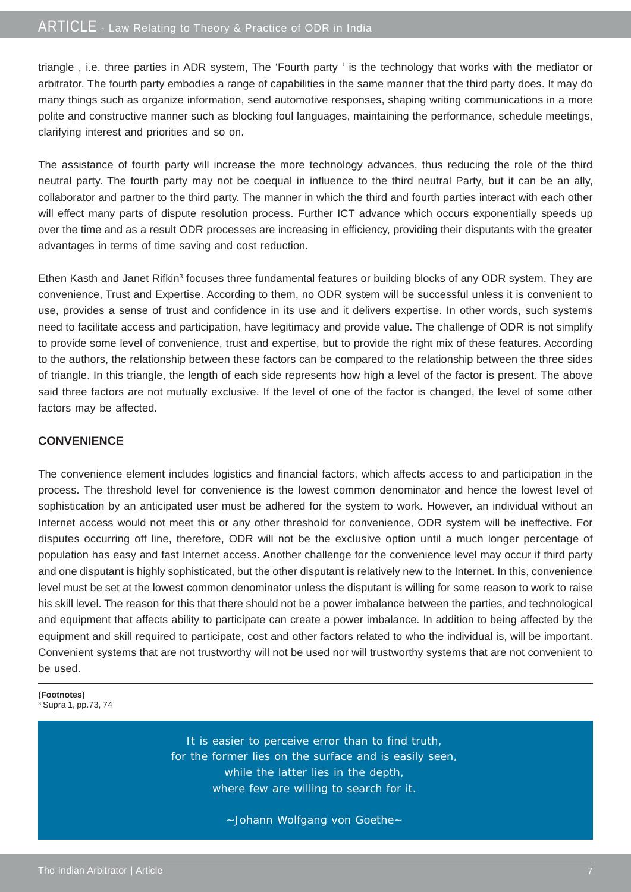triangle , i.e. three parties in ADR system, The 'Fourth party ' is the technology that works with the mediator or arbitrator. The fourth party embodies a range of capabilities in the same manner that the third party does. It may do many things such as organize information, send automotive responses, shaping writing communications in a more polite and constructive manner such as blocking foul languages, maintaining the performance, schedule meetings, clarifying interest and priorities and so on.

The assistance of fourth party will increase the more technology advances, thus reducing the role of the third neutral party. The fourth party may not be coequal in influence to the third neutral Party, but it can be an ally, collaborator and partner to the third party. The manner in which the third and fourth parties interact with each other will effect many parts of dispute resolution process. Further ICT advance which occurs exponentially speeds up over the time and as a result ODR processes are increasing in efficiency, providing their disputants with the greater advantages in terms of time saving and cost reduction.

Ethen Kasth and Janet Rifkin<sup>3</sup> focuses three fundamental features or building blocks of any ODR system. They are convenience, Trust and Expertise. According to them, no ODR system will be successful unless it is convenient to use, provides a sense of trust and confidence in its use and it delivers expertise. In other words, such systems need to facilitate access and participation, have legitimacy and provide value. The challenge of ODR is not simplify to provide some level of convenience, trust and expertise, but to provide the right mix of these features. According to the authors, the relationship between these factors can be compared to the relationship between the three sides of triangle. In this triangle, the length of each side represents how high a level of the factor is present. The above said three factors are not mutually exclusive. If the level of one of the factor is changed, the level of some other factors may be affected.

#### **CONVENIENCE**

The convenience element includes logistics and financial factors, which affects access to and participation in the process. The threshold level for convenience is the lowest common denominator and hence the lowest level of sophistication by an anticipated user must be adhered for the system to work. However, an individual without an Internet access would not meet this or any other threshold for convenience, ODR system will be ineffective. For disputes occurring off line, therefore, ODR will not be the exclusive option until a much longer percentage of population has easy and fast Internet access. Another challenge for the convenience level may occur if third party and one disputant is highly sophisticated, but the other disputant is relatively new to the Internet. In this, convenience level must be set at the lowest common denominator unless the disputant is willing for some reason to work to raise his skill level. The reason for this that there should not be a power imbalance between the parties, and technological and equipment that affects ability to participate can create a power imbalance. In addition to being affected by the equipment and skill required to participate, cost and other factors related to who the individual is, will be important. Convenient systems that are not trustworthy will not be used nor will trustworthy systems that are not convenient to be used.

**(Footnotes)** 3 Supra 1, pp.73, 74

> It is easier to perceive error than to find truth, for the former lies on the surface and is easily seen, while the latter lies in the depth, where few are willing to search for it.

> > ~Johann Wolfgang von Goethe~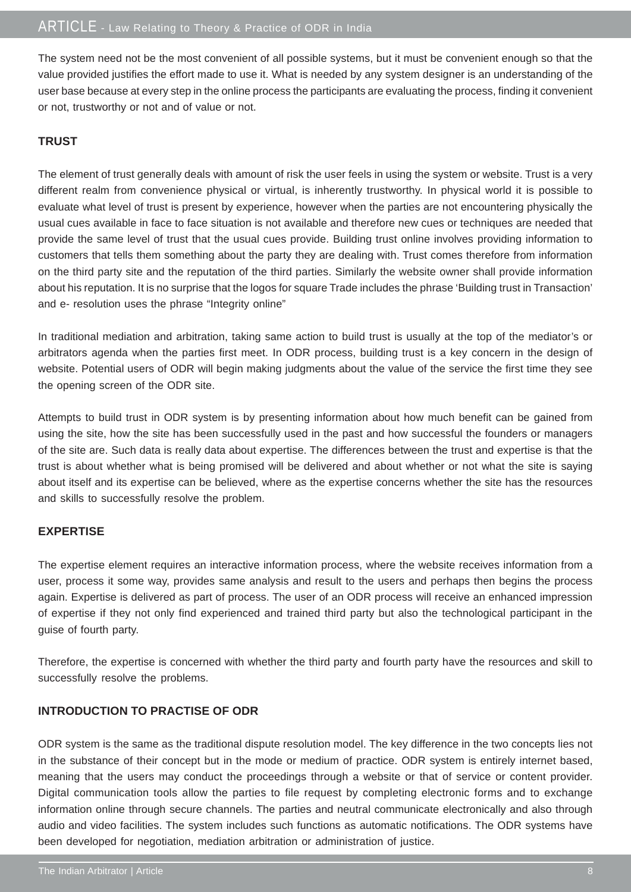The system need not be the most convenient of all possible systems, but it must be convenient enough so that the value provided justifies the effort made to use it. What is needed by any system designer is an understanding of the user base because at every step in the online process the participants are evaluating the process, finding it convenient or not, trustworthy or not and of value or not.

#### **TRUST**

The element of trust generally deals with amount of risk the user feels in using the system or website. Trust is a very different realm from convenience physical or virtual, is inherently trustworthy. In physical world it is possible to evaluate what level of trust is present by experience, however when the parties are not encountering physically the usual cues available in face to face situation is not available and therefore new cues or techniques are needed that provide the same level of trust that the usual cues provide. Building trust online involves providing information to customers that tells them something about the party they are dealing with. Trust comes therefore from information on the third party site and the reputation of the third parties. Similarly the website owner shall provide information about his reputation. It is no surprise that the logos for square Trade includes the phrase 'Building trust in Transaction' and e- resolution uses the phrase "Integrity online"

In traditional mediation and arbitration, taking same action to build trust is usually at the top of the mediator's or arbitrators agenda when the parties first meet. In ODR process, building trust is a key concern in the design of website. Potential users of ODR will begin making judgments about the value of the service the first time they see the opening screen of the ODR site.

Attempts to build trust in ODR system is by presenting information about how much benefit can be gained from using the site, how the site has been successfully used in the past and how successful the founders or managers of the site are. Such data is really data about expertise. The differences between the trust and expertise is that the trust is about whether what is being promised will be delivered and about whether or not what the site is saying about itself and its expertise can be believed, where as the expertise concerns whether the site has the resources and skills to successfully resolve the problem.

#### **EXPERTISE**

The expertise element requires an interactive information process, where the website receives information from a user, process it some way, provides same analysis and result to the users and perhaps then begins the process again. Expertise is delivered as part of process. The user of an ODR process will receive an enhanced impression of expertise if they not only find experienced and trained third party but also the technological participant in the guise of fourth party.

Therefore, the expertise is concerned with whether the third party and fourth party have the resources and skill to successfully resolve the problems.

#### **INTRODUCTION TO PRACTISE OF ODR**

ODR system is the same as the traditional dispute resolution model. The key difference in the two concepts lies not in the substance of their concept but in the mode or medium of practice. ODR system is entirely internet based, meaning that the users may conduct the proceedings through a website or that of service or content provider. Digital communication tools allow the parties to file request by completing electronic forms and to exchange information online through secure channels. The parties and neutral communicate electronically and also through audio and video facilities. The system includes such functions as automatic notifications. The ODR systems have been developed for negotiation, mediation arbitration or administration of justice.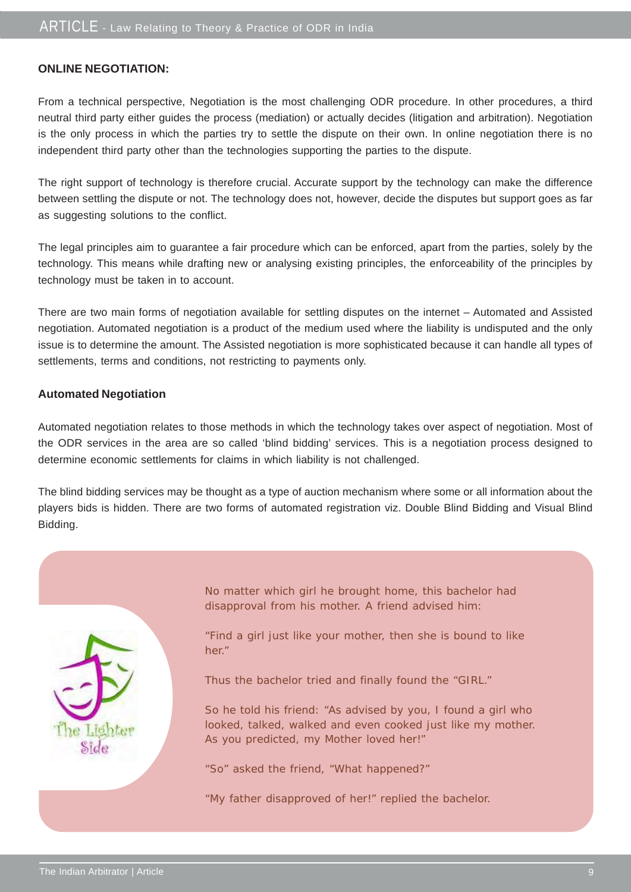#### **ONLINE NEGOTIATION:**

From a technical perspective, Negotiation is the most challenging ODR procedure. In other procedures, a third neutral third party either guides the process (mediation) or actually decides (litigation and arbitration). Negotiation is the only process in which the parties try to settle the dispute on their own. In online negotiation there is no independent third party other than the technologies supporting the parties to the dispute.

The right support of technology is therefore crucial. Accurate support by the technology can make the difference between settling the dispute or not. The technology does not, however, decide the disputes but support goes as far as suggesting solutions to the conflict.

The legal principles aim to guarantee a fair procedure which can be enforced, apart from the parties, solely by the technology. This means while drafting new or analysing existing principles, the enforceability of the principles by technology must be taken in to account.

There are two main forms of negotiation available for settling disputes on the internet – Automated and Assisted negotiation. Automated negotiation is a product of the medium used where the liability is undisputed and the only issue is to determine the amount. The Assisted negotiation is more sophisticated because it can handle all types of settlements, terms and conditions, not restricting to payments only.

#### **Automated Negotiation**

Automated negotiation relates to those methods in which the technology takes over aspect of negotiation. Most of the ODR services in the area are so called 'blind bidding' services. This is a negotiation process designed to determine economic settlements for claims in which liability is not challenged.

The blind bidding services may be thought as a type of auction mechanism where some or all information about the players bids is hidden. There are two forms of automated registration viz. Double Blind Bidding and Visual Blind Bidding.



No matter which girl he brought home, this bachelor had disapproval from his mother. A friend advised him:

"Find a girl just like your mother, then she is bound to like her."

Thus the bachelor tried and finally found the "GIRL."

So he told his friend: "As advised by you, I found a girl who looked, talked, walked and even cooked just like my mother. As you predicted, my Mother loved her!"

"So" asked the friend, "What happened?"

"My father disapproved of her!" replied the bachelor.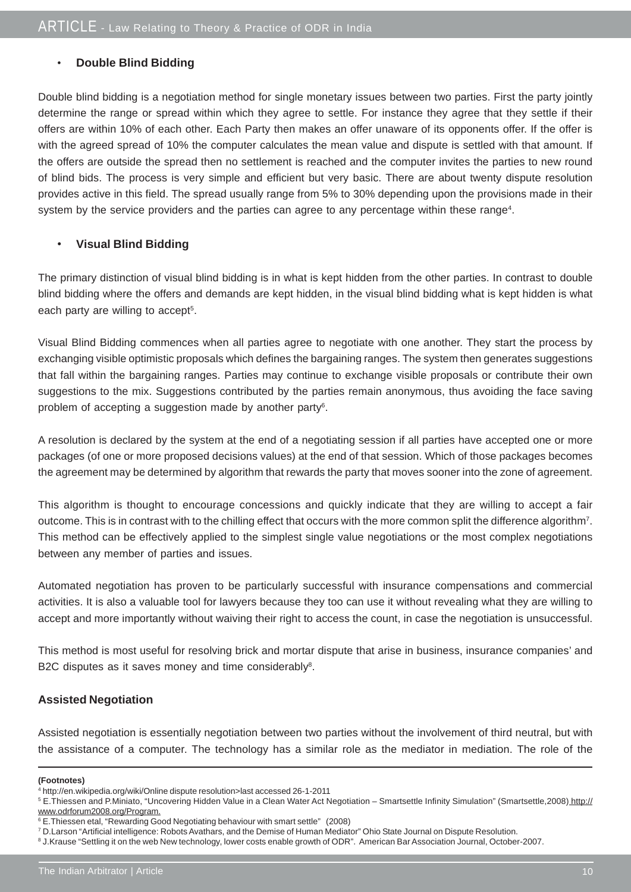#### • **Double Blind Bidding**

Double blind bidding is a negotiation method for single monetary issues between two parties. First the party jointly determine the range or spread within which they agree to settle. For instance they agree that they settle if their offers are within 10% of each other. Each Party then makes an offer unaware of its opponents offer. If the offer is with the agreed spread of 10% the computer calculates the mean value and dispute is settled with that amount. If the offers are outside the spread then no settlement is reached and the computer invites the parties to new round of blind bids. The process is very simple and efficient but very basic. There are about twenty dispute resolution provides active in this field. The spread usually range from 5% to 30% depending upon the provisions made in their system by the service providers and the parties can agree to any percentage within these range<sup>4</sup>.

#### • **Visual Blind Bidding**

The primary distinction of visual blind bidding is in what is kept hidden from the other parties. In contrast to double blind bidding where the offers and demands are kept hidden, in the visual blind bidding what is kept hidden is what each party are willing to accept<sup>5</sup>.

Visual Blind Bidding commences when all parties agree to negotiate with one another. They start the process by exchanging visible optimistic proposals which defines the bargaining ranges. The system then generates suggestions that fall within the bargaining ranges. Parties may continue to exchange visible proposals or contribute their own suggestions to the mix. Suggestions contributed by the parties remain anonymous, thus avoiding the face saving problem of accepting a suggestion made by another party<sup>6</sup>.

A resolution is declared by the system at the end of a negotiating session if all parties have accepted one or more packages (of one or more proposed decisions values) at the end of that session. Which of those packages becomes the agreement may be determined by algorithm that rewards the party that moves sooner into the zone of agreement.

This algorithm is thought to encourage concessions and quickly indicate that they are willing to accept a fair outcome. This is in contrast with to the chilling effect that occurs with the more common split the difference algorithm7. This method can be effectively applied to the simplest single value negotiations or the most complex negotiations between any member of parties and issues.

Automated negotiation has proven to be particularly successful with insurance compensations and commercial activities. It is also a valuable tool for lawyers because they too can use it without revealing what they are willing to accept and more importantly without waiving their right to access the count, in case the negotiation is unsuccessful.

This method is most useful for resolving brick and mortar dispute that arise in business, insurance companies' and B2C disputes as it saves money and time considerably<sup>8</sup>.

#### **Assisted Negotiation**

Assisted negotiation is essentially negotiation between two parties without the involvement of third neutral, but with the assistance of a computer. The technology has a similar role as the mediator in mediation. The role of the

#### **(Footnotes)**

<sup>5</sup> E.Thiessen and P.Miniato, "Uncovering Hidden Value in a Clean Water Act Negotiation – Smartsettle Infinity Simulation" (Smartsettle,2008) http:// www.odrforum2008.org/Program.

<sup>4</sup> http://en.wikipedia.org/wiki/Online dispute resolution>last accessed 26-1-2011

<sup>6</sup> E.Thiessen etal, "Rewarding Good Negotiating behaviour with smart settle" (2008)

<sup>7</sup> D.Larson "Artificial intelligence: Robots Avathars, and the Demise of Human Mediator" Ohio State Journal on Dispute Resolution.

<sup>8</sup> J.Krause "Settling it on the web New technology, lower costs enable growth of ODR". American Bar Association Journal, October-2007.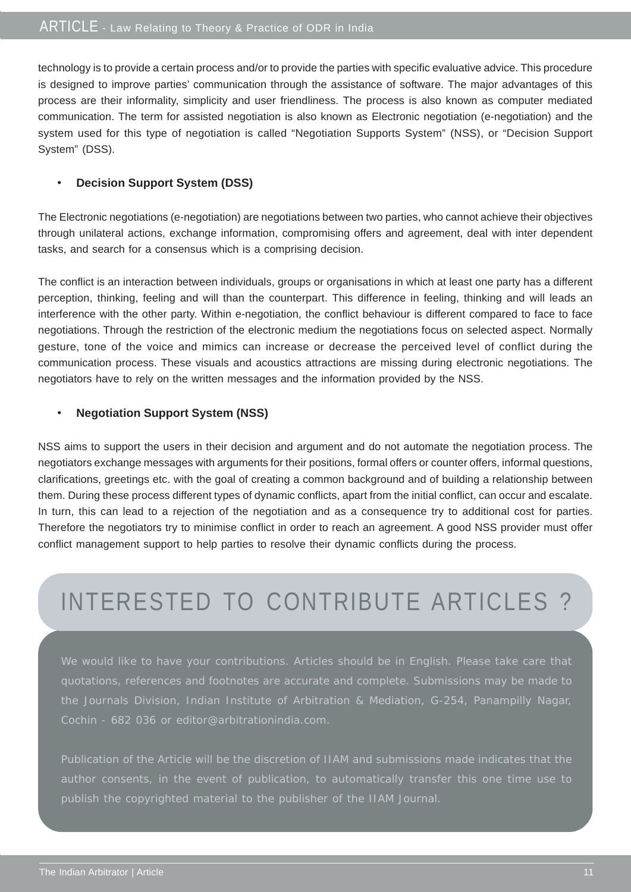technology is to provide a certain process and/or to provide the parties with specific evaluative advice. This procedure is designed to improve parties' communication through the assistance of software. The major advantages of this process are their informality, simplicity and user friendliness. The process is also known as computer mediated communication. The term for assisted negotiation is also known as Electronic negotiation (e-negotiation) and the system used for this type of negotiation is called "Negotiation Supports System" (NSS), or "Decision Support System" (DSS).

#### • **Decision Support System (DSS)**

The Electronic negotiations (e-negotiation) are negotiations between two parties, who cannot achieve their objectives through unilateral actions, exchange information, compromising offers and agreement, deal with inter dependent tasks, and search for a consensus which is a comprising decision.

The conflict is an interaction between individuals, groups or organisations in which at least one party has a different perception, thinking, feeling and will than the counterpart. This difference in feeling, thinking and will leads an interference with the other party. Within e-negotiation, the conflict behaviour is different compared to face to face negotiations. Through the restriction of the electronic medium the negotiations focus on selected aspect. Normally gesture, tone of the voice and mimics can increase or decrease the perceived level of conflict during the communication process. These visuals and acoustics attractions are missing during electronic negotiations. The negotiators have to rely on the written messages and the information provided by the NSS.

#### • **Negotiation Support System (NSS)**

NSS aims to support the users in their decision and argument and do not automate the negotiation process. The negotiators exchange messages with arguments for their positions, formal offers or counter offers, informal questions, clarifications, greetings etc. with the goal of creating a common background and of building a relationship between them. During these process different types of dynamic conflicts, apart from the initial conflict, can occur and escalate. In turn, this can lead to a rejection of the negotiation and as a consequence try to additional cost for parties. Therefore the negotiators try to minimise conflict in order to reach an agreement. A good NSS provider must offer conflict management support to help parties to resolve their dynamic conflicts during the process.

# INTERESTED TO CONTRIBUTE ARTICLES ?

We would like to have your contributions. Articles should be in English. Please take care that quotations, references and footnotes are accurate and complete. Submissions may be made to the Journals Division, Indian Institute of Arbitration & Mediation, G-254, Panampilly Nagar, Cochin - 682 036 or editor@arbitrationindia.com.

Publication of the Article will be the discretion of IIAM and submissions made indicates that the publish the copyrighted material to the publisher of the IIAM Journal.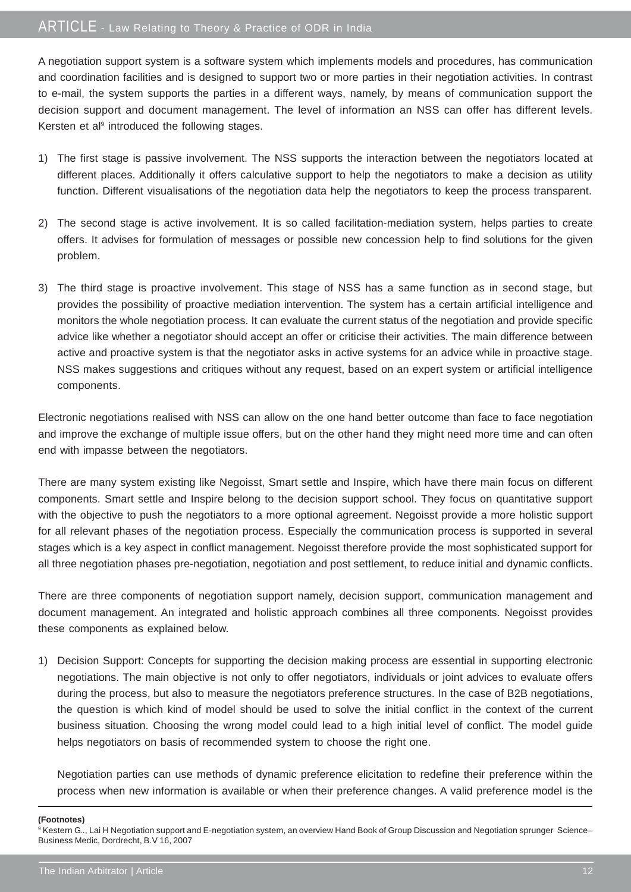### ARTICLE - Law Relating to Theory & Practice of ODR in India

A negotiation support system is a software system which implements models and procedures, has communication and coordination facilities and is designed to support two or more parties in their negotiation activities. In contrast to e-mail, the system supports the parties in a different ways, namely, by means of communication support the decision support and document management. The level of information an NSS can offer has different levels. Kersten et al<sup>9</sup> introduced the following stages.

- 1) The first stage is passive involvement. The NSS supports the interaction between the negotiators located at different places. Additionally it offers calculative support to help the negotiators to make a decision as utility function. Different visualisations of the negotiation data help the negotiators to keep the process transparent.
- 2) The second stage is active involvement. It is so called facilitation-mediation system, helps parties to create offers. It advises for formulation of messages or possible new concession help to find solutions for the given problem.
- 3) The third stage is proactive involvement. This stage of NSS has a same function as in second stage, but provides the possibility of proactive mediation intervention. The system has a certain artificial intelligence and monitors the whole negotiation process. It can evaluate the current status of the negotiation and provide specific advice like whether a negotiator should accept an offer or criticise their activities. The main difference between active and proactive system is that the negotiator asks in active systems for an advice while in proactive stage. NSS makes suggestions and critiques without any request, based on an expert system or artificial intelligence components.

Electronic negotiations realised with NSS can allow on the one hand better outcome than face to face negotiation and improve the exchange of multiple issue offers, but on the other hand they might need more time and can often end with impasse between the negotiators.

There are many system existing like Negoisst, Smart settle and Inspire, which have there main focus on different components. Smart settle and Inspire belong to the decision support school. They focus on quantitative support with the objective to push the negotiators to a more optional agreement. Negoisst provide a more holistic support for all relevant phases of the negotiation process. Especially the communication process is supported in several stages which is a key aspect in conflict management. Negoisst therefore provide the most sophisticated support for all three negotiation phases pre-negotiation, negotiation and post settlement, to reduce initial and dynamic conflicts.

There are three components of negotiation support namely, decision support, communication management and document management. An integrated and holistic approach combines all three components. Negoisst provides these components as explained below.

1) Decision Support: Concepts for supporting the decision making process are essential in supporting electronic negotiations. The main objective is not only to offer negotiators, individuals or joint advices to evaluate offers during the process, but also to measure the negotiators preference structures. In the case of B2B negotiations, the question is which kind of model should be used to solve the initial conflict in the context of the current business situation. Choosing the wrong model could lead to a high initial level of conflict. The model guide helps negotiators on basis of recommended system to choose the right one.

Negotiation parties can use methods of dynamic preference elicitation to redefine their preference within the process when new information is available or when their preference changes. A valid preference model is the

**(Footnotes)**

<sup>9</sup> Kestern G.., Lai H Negotiation support and E-negotiation system, an overview Hand Book of Group Discussion and Negotiation sprunger Science-Business Medic, Dordrecht, B.V 16, 2007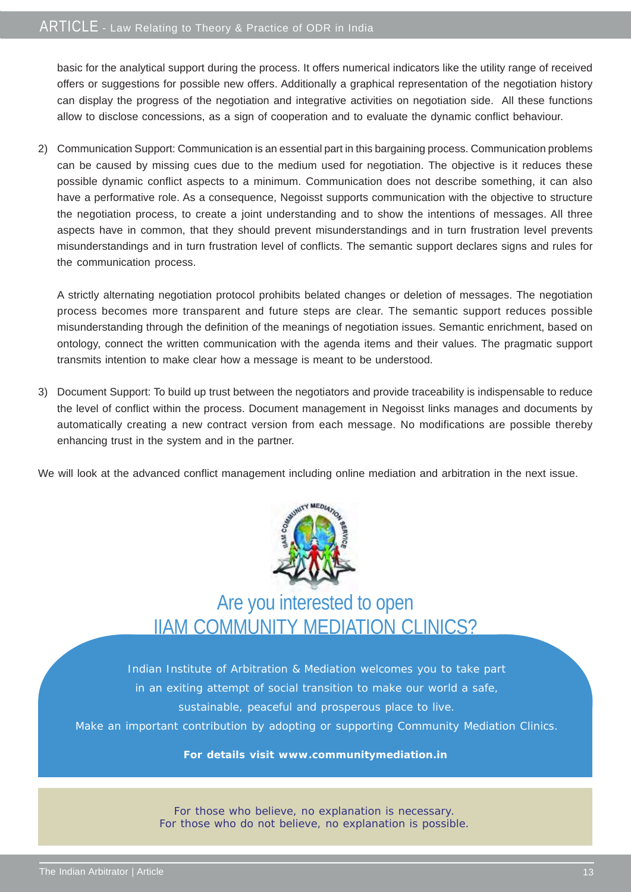basic for the analytical support during the process. It offers numerical indicators like the utility range of received offers or suggestions for possible new offers. Additionally a graphical representation of the negotiation history can display the progress of the negotiation and integrative activities on negotiation side. All these functions allow to disclose concessions, as a sign of cooperation and to evaluate the dynamic conflict behaviour.

2) Communication Support: Communication is an essential part in this bargaining process. Communication problems can be caused by missing cues due to the medium used for negotiation. The objective is it reduces these possible dynamic conflict aspects to a minimum. Communication does not describe something, it can also have a performative role. As a consequence, Negoisst supports communication with the objective to structure the negotiation process, to create a joint understanding and to show the intentions of messages. All three aspects have in common, that they should prevent misunderstandings and in turn frustration level prevents misunderstandings and in turn frustration level of conflicts. The semantic support declares signs and rules for the communication process.

A strictly alternating negotiation protocol prohibits belated changes or deletion of messages. The negotiation process becomes more transparent and future steps are clear. The semantic support reduces possible misunderstanding through the definition of the meanings of negotiation issues. Semantic enrichment, based on ontology, connect the written communication with the agenda items and their values. The pragmatic support transmits intention to make clear how a message is meant to be understood.

3) Document Support: To build up trust between the negotiators and provide traceability is indispensable to reduce the level of conflict within the process. Document management in Negoisst links manages and documents by automatically creating a new contract version from each message. No modifications are possible thereby enhancing trust in the system and in the partner.

We will look at the advanced conflict management including online mediation and arbitration in the next issue.



## Are you interested to open IIAM COMMUNITY MEDIATION CLINICS?

Indian Institute of Arbitration & Mediation welcomes you to take part in an exiting attempt of social transition to make our world a safe, sustainable, peaceful and prosperous place to live. Make an important contribution by adopting or supporting Community Mediation Clinics.

#### **For details visit www.communitymediation.in**

For those who believe, no explanation is necessary. For those who do not believe, no explanation is possible.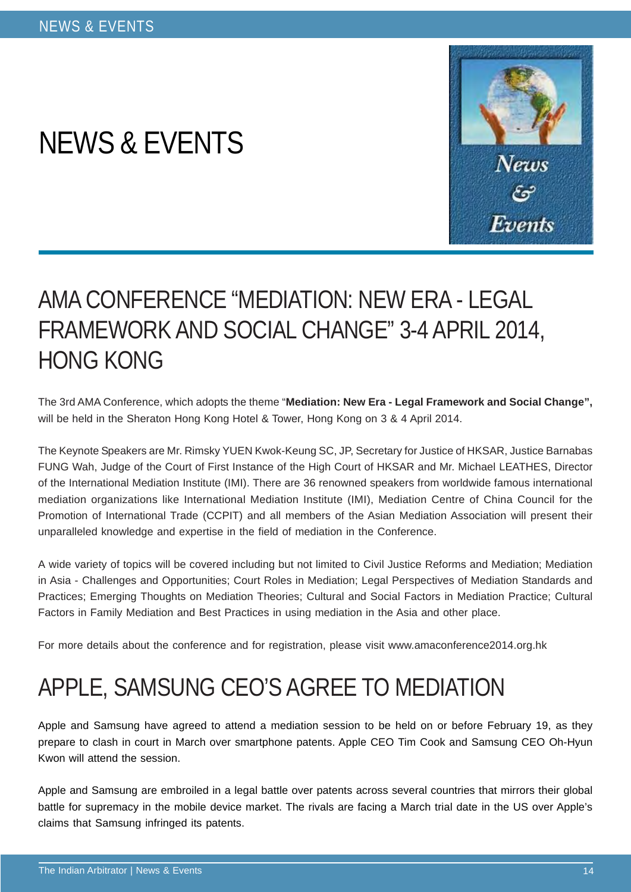# NEWS & EVENTS



# AMA CONFERENCE "MEDIATION: NEW ERA - LEGAL FRAMEWORK AND SOCIAL CHANGE" 3-4 APRIL 2014, HONG KONG

The 3rd AMA Conference, which adopts the theme "**Mediation: New Era - Legal Framework and Social Change",** will be held in the Sheraton Hong Kong Hotel & Tower, Hong Kong on 3 & 4 April 2014.

The Keynote Speakers are Mr. Rimsky YUEN Kwok-Keung SC, JP, Secretary for Justice of HKSAR, Justice Barnabas FUNG Wah, Judge of the Court of First Instance of the High Court of HKSAR and Mr. Michael LEATHES, Director of the International Mediation Institute (IMI). There are 36 renowned speakers from worldwide famous international mediation organizations like International Mediation Institute (IMI), Mediation Centre of China Council for the Promotion of International Trade (CCPIT) and all members of the Asian Mediation Association will present their unparalleled knowledge and expertise in the field of mediation in the Conference.

A wide variety of topics will be covered including but not limited to Civil Justice Reforms and Mediation; Mediation in Asia - Challenges and Opportunities; Court Roles in Mediation; Legal Perspectives of Mediation Standards and Practices; Emerging Thoughts on Mediation Theories; Cultural and Social Factors in Mediation Practice; Cultural Factors in Family Mediation and Best Practices in using mediation in the Asia and other place.

For more details about the conference and for registration, please visit www.amaconference2014.org.hk

# APPLE, SAMSUNG CEO'S AGREE TO MEDIATION

Apple and Samsung have agreed to attend a mediation session to be held on or before February 19, as they prepare to clash in court in March over smartphone patents. Apple CEO Tim Cook and Samsung CEO Oh-Hyun Kwon will attend the session.

Apple and Samsung are embroiled in a legal battle over patents across several countries that mirrors their global battle for supremacy in the mobile device market. The rivals are facing a March trial date in the US over Apple's claims that Samsung infringed its patents.